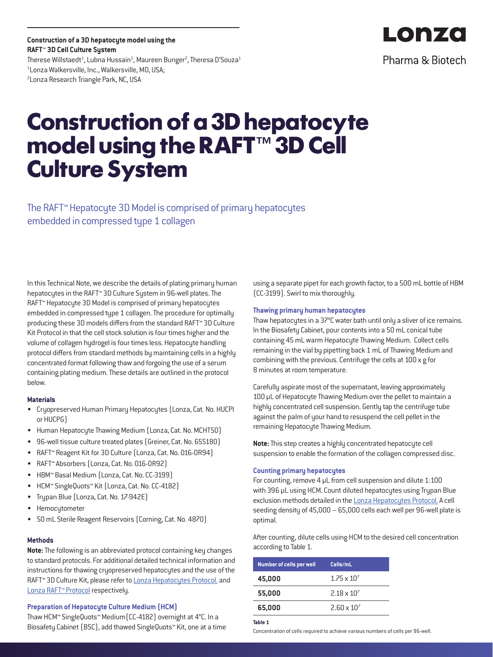**Construction of a 3D hepatocyte model using the RAFT™ 3D Cell Culture System** Therese Willstaedt $^{\rm 1}$ , Lubna Hussain $^{\rm 1}$ , Maureen Bunger $^{\rm 2}$ , Theresa D'Souza $^{\rm 1}$ 1 Lonza Walkersville, Inc., Walkersville, MD, USA; <sup>2</sup> Lonza Research Triangle Park, NC, USA

# **Construction of a 3D hepatocyte model using the RAFT™ 3D Cell Culture System**

The RAFT™ Hepatocyte 3D Model is comprised of primary hepatocytes embedded in compressed type 1 collagen

In this Technical Note, we describe the details of plating primary human hepatocytes in the RAFT™ 3D Culture System in 96-well plates. The RAFT™ Hepatocyte 3D Model is comprised of primary hepatocytes embedded in compressed type 1 collagen. The procedure for optimally producing these 3D models differs from the standard RAFT™ 3D Culture Kit Protocol in that the cell stock solution is four times higher and the volume of collagen hydrogel is four times less. Hepatocyte handling protocol differs from standard methods by maintaining cells in a highly concentrated format following thaw and forgoing the use of a serum containing plating medium. These details are outlined in the protocol below.

# **Materials**

- Cryopreserved Human Primary Hepatocytes (Lonza, Cat. No. HUCPI or HUCPG)
- Human Hepatocyte Thawing Medium (Lonza, Cat. No. MCHT50)
- 96-well tissue culture treated plates (Greiner, Cat. No. 655180)
- RAFT™ Reagent Kit for 3D Culture (Lonza, Cat. No. 016-0R94)
- RAFT™ Absorbers (Lonza, Cat. No. 016-0R92)
- HBM™ Basal Medium (Lonza, Cat. No. CC-3199)
- HCM™ SingleQuots™ Kit (Lonza, Cat. No. CC-4182)
- Trypan Blue (Lonza, Cat. No. 17-942E)
- Hemocytometer
- 50 mL Sterile Reagent Reservoirs (Corning, Cat. No. 4870)

#### **Methods**

**Note:** The following is an abbreviated protocol containing key changes to standard protocols. For additional detailed technical information and instructions for thawing cryopreserved hepatocytes and the use of the RAFT<sup>™</sup> 3D Culture Kit, please refer to **Lonza Hepatocytes Protocol**. and [Lonza RAFT™ Protocol](http://lonza.com/raft-protocol) respectively.

# **Preparation of Hepatocyte Culture Medium (HCM)**

Thaw HCM™ SingleQuots™ Medium(CC-4182) overnight at 4°C. In a Biosafety Cabinet (BSC), add thawed SingleQuots™ Kit, one at a time using a separate pipet for each growth factor, to a 500 mL bottle of HBM (CC-3199). Swirl to mix thoroughly.

#### **Thawing primary human hepatocytes**

Thaw hepatocytes in a 37°C water bath until only a sliver of ice remains. In the Biosafety Cabinet, pour contents into a 50 mL conical tube containing 45 mL warm Hepatocyte Thawing Medium. Collect cells remaining in the vial by pipetting back 1 mL of Thawing Medium and combining with the previous. Centrifuge the cells at 100 x g for 8 minutes at room temperature.

Carefully aspirate most of the supernatant, leaving approximately 100 µL of Hepatocyte Thawing Medium over the pellet to maintain a highly concentrated cell suspension. Gently tap the centrifuge tube against the palm of your hand to resuspend the cell pellet in the remaining Hepatocyte Thawing Medium.

**Note:** This step creates a highly concentrated hepatocyte cell suspension to enable the formation of the collagen compressed disc.

## **Counting primary hepatocytes**

For counting, remove 4 μL from cell suspension and dilute 1:100 with 396 μL using HCM. Count diluted hepatocytes using Trypan Blue exclusion methods detailed in the [Lonza Hepatocytes Protocol.](https://lonza.com/heps-protocol) A cell seeding density of 45,000 – 65,000 cells each well per 96-well plate is optimal.

After counting, dilute cells using HCM to the desired cell concentration according to Table 1.

| Number of cells per well | Cells/mL             |
|--------------------------|----------------------|
| 45,000                   | $1.75 \times 10^{7}$ |
| 55,000                   | $2.18 \times 10^{7}$ |
| 65,000                   | $2.60 \times 10^{7}$ |

# **Table 1**

Concentration of cells required to achieve various numbers of cells per 96-well.



Pharma & Biotech